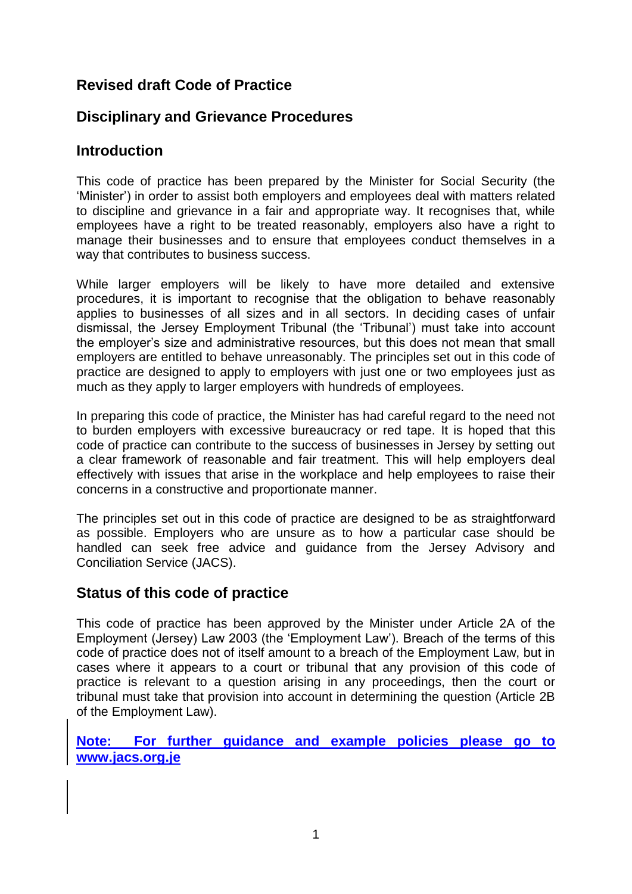# **Revised draft Code of Practice**

# **Disciplinary and Grievance Procedures**

## **Introduction**

This code of practice has been prepared by the Minister for Social Security (the 'Minister') in order to assist both employers and employees deal with matters related to discipline and grievance in a fair and appropriate way. It recognises that, while employees have a right to be treated reasonably, employers also have a right to manage their businesses and to ensure that employees conduct themselves in a way that contributes to business success.

While larger employers will be likely to have more detailed and extensive procedures, it is important to recognise that the obligation to behave reasonably applies to businesses of all sizes and in all sectors. In deciding cases of unfair dismissal, the Jersey Employment Tribunal (the 'Tribunal') must take into account the employer's size and administrative resources, but this does not mean that small employers are entitled to behave unreasonably. The principles set out in this code of practice are designed to apply to employers with just one or two employees just as much as they apply to larger employers with hundreds of employees.

In preparing this code of practice, the Minister has had careful regard to the need not to burden employers with excessive bureaucracy or red tape. It is hoped that this code of practice can contribute to the success of businesses in Jersey by setting out a clear framework of reasonable and fair treatment. This will help employers deal effectively with issues that arise in the workplace and help employees to raise their concerns in a constructive and proportionate manner.

The principles set out in this code of practice are designed to be as straightforward as possible. Employers who are unsure as to how a particular case should be handled can seek free advice and guidance from the Jersey Advisory and Conciliation Service (JACS).

### **Status of this code of practice**

This code of practice has been approved by the Minister under Article 2A of the Employment (Jersey) Law 2003 (the 'Employment Law'). Breach of the terms of this code of practice does not of itself amount to a breach of the Employment Law, but in cases where it appears to a court or tribunal that any provision of this code of practice is relevant to a question arising in any proceedings, then the court or tribunal must take that provision into account in determining the question (Article 2B of the Employment Law).

**Note: For further guidance and example policies please go to [www.jacs.org.je](http://www.jacs.org.je/)**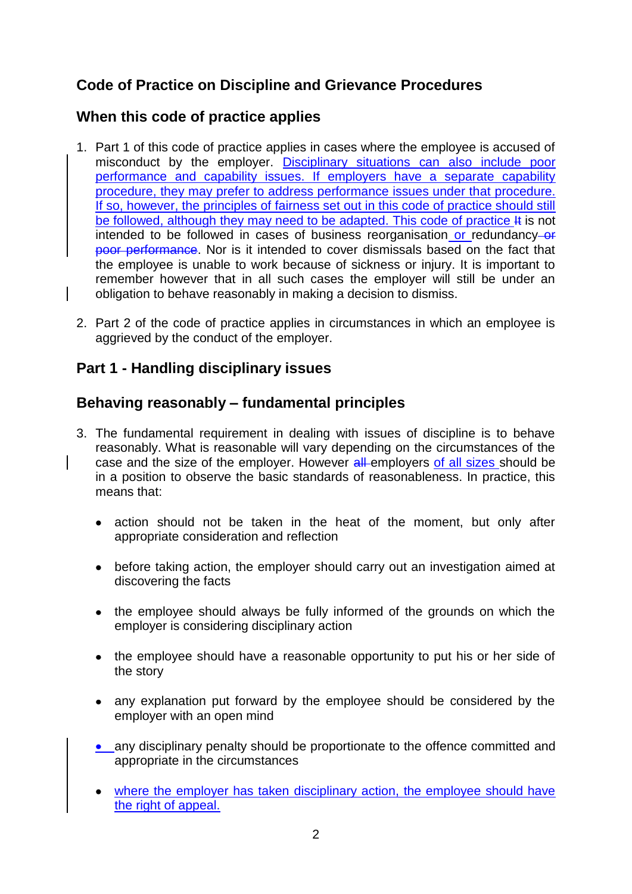# **Code of Practice on Discipline and Grievance Procedures**

# **When this code of practice applies**

- 1. Part 1 of this code of practice applies in cases where the employee is accused of misconduct by the employer. Disciplinary situations can also include poor performance and capability issues. If employers have a separate capability procedure, they may prefer to address performance issues under that procedure. If so, however, the principles of fairness set out in this code of practice should still be followed, although they may need to be adapted. This code of practice It is not intended to be followed in cases of business reorganisation or redundancy-or poor performance. Nor is it intended to cover dismissals based on the fact that the employee is unable to work because of sickness or injury. It is important to remember however that in all such cases the employer will still be under an obligation to behave reasonably in making a decision to dismiss.
- 2. Part 2 of the code of practice applies in circumstances in which an employee is aggrieved by the conduct of the employer.

## **Part 1 - Handling disciplinary issues**

# **Behaving reasonably – fundamental principles**

- 3. The fundamental requirement in dealing with issues of discipline is to behave reasonably. What is reasonable will vary depending on the circumstances of the case and the size of the employer. However all employers of all sizes should be in a position to observe the basic standards of reasonableness. In practice, this means that:
	- action should not be taken in the heat of the moment, but only after  $\bullet$ appropriate consideration and reflection
	- before taking action, the employer should carry out an investigation aimed at discovering the facts
	- the employee should always be fully informed of the grounds on which the employer is considering disciplinary action
	- the employee should have a reasonable opportunity to put his or her side of the story
	- any explanation put forward by the employee should be considered by the employer with an open mind
	- any disciplinary penalty should be proportionate to the offence committed and appropriate in the circumstances
	- where the employer has taken disciplinary action, the employee should have the right of appeal.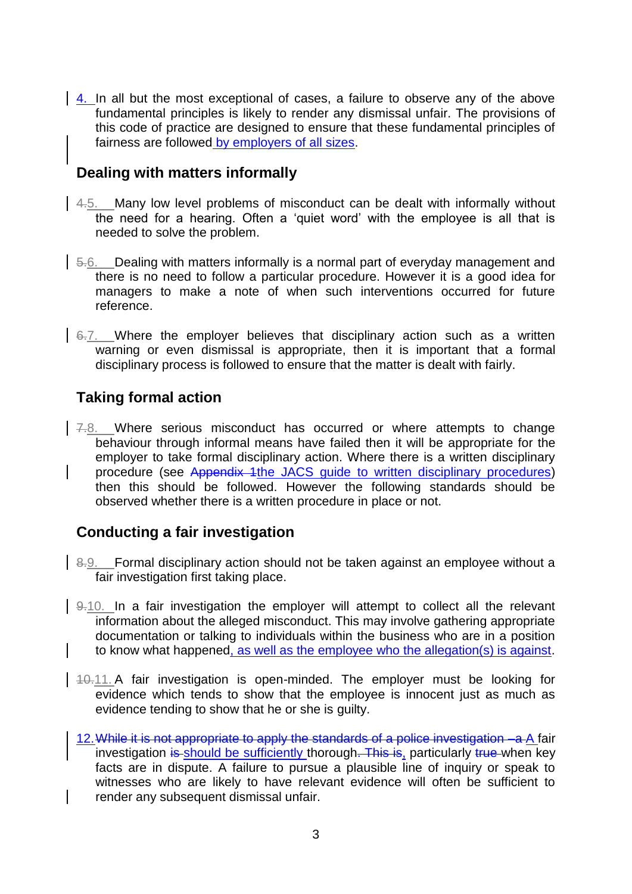4. In all but the most exceptional of cases, a failure to observe any of the above fundamental principles is likely to render any dismissal unfair. The provisions of this code of practice are designed to ensure that these fundamental principles of fairness are followed by employers of all sizes.

### **Dealing with matters informally**

- 4.5. Many low level problems of misconduct can be dealt with informally without the need for a hearing. Often a 'quiet word' with the employee is all that is needed to solve the problem.
- 5.6. Dealing with matters informally is a normal part of everyday management and there is no need to follow a particular procedure. However it is a good idea for managers to make a note of when such interventions occurred for future reference.
- 6.7. Where the employer believes that disciplinary action such as a written warning or even dismissal is appropriate, then it is important that a formal disciplinary process is followed to ensure that the matter is dealt with fairly.

# **Taking formal action**

7.8. Where serious misconduct has occurred or where attempts to change behaviour through informal means have failed then it will be appropriate for the employer to take formal disciplinary action. Where there is a written disciplinary procedure (see Appendix 1the JACS guide to written disciplinary procedures) then this should be followed. However the following standards should be observed whether there is a written procedure in place or not.

# **Conducting a fair investigation**

- 8.9. Formal disciplinary action should not be taken against an employee without a fair investigation first taking place.
- 9.10. In a fair investigation the employer will attempt to collect all the relevant information about the alleged misconduct. This may involve gathering appropriate documentation or talking to individuals within the business who are in a position to know what happened, as well as the employee who the allegation(s) is against.
- $140.11$ . A fair investigation is open-minded. The employer must be looking for evidence which tends to show that the employee is innocent just as much as evidence tending to show that he or she is guilty.
	- 12. While it is not appropriate to apply the standards of a police investigation –a A fair investigation is should be sufficiently thorough. This is, particularly true when key facts are in dispute. A failure to pursue a plausible line of inquiry or speak to witnesses who are likely to have relevant evidence will often be sufficient to render any subsequent dismissal unfair.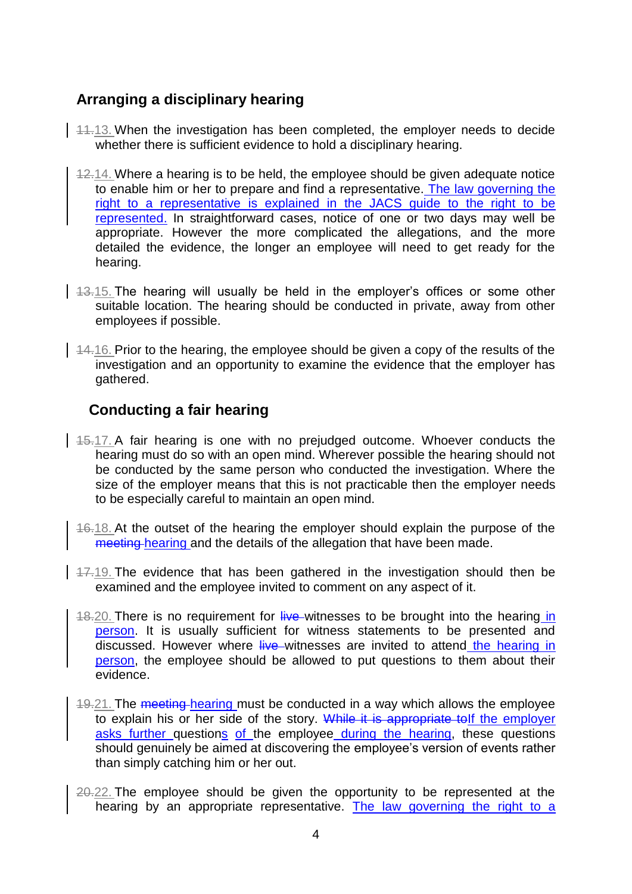# **Arranging a disciplinary hearing**

- 14.13. When the investigation has been completed, the employer needs to decide whether there is sufficient evidence to hold a disciplinary hearing.
- 12.14. Where a hearing is to be held, the employee should be given adequate notice to enable him or her to prepare and find a representative. The law governing the right to a representative is explained in the JACS guide to the right to be represented. In straightforward cases, notice of one or two days may well be appropriate. However the more complicated the allegations, and the more detailed the evidence, the longer an employee will need to get ready for the hearing.
- $\frac{13.15}{13.15}$ . The hearing will usually be held in the employer's offices or some other suitable location. The hearing should be conducted in private, away from other employees if possible.
- $\vert$  44.16. Prior to the hearing, the employee should be given a copy of the results of the investigation and an opportunity to examine the evidence that the employer has gathered.

## **Conducting a fair hearing**

- $15.17$ . A fair hearing is one with no prejudged outcome. Whoever conducts the hearing must do so with an open mind. Wherever possible the hearing should not be conducted by the same person who conducted the investigation. Where the size of the employer means that this is not practicable then the employer needs to be especially careful to maintain an open mind.
	- 16.18. At the outset of the hearing the employer should explain the purpose of the meeting hearing and the details of the allegation that have been made.
- $\frac{17.19}{17.19}$ . The evidence that has been gathered in the investigation should then be examined and the employee invited to comment on any aspect of it.
	- 18.20. There is no requirement for live witnesses to be brought into the hearing in person. It is usually sufficient for witness statements to be presented and discussed. However where live witnesses are invited to attend the hearing in person, the employee should be allowed to put questions to them about their evidence.
	- 19.21. The meeting hearing must be conducted in a way which allows the employee to explain his or her side of the story. While it is appropriate tolf the employer asks further questions of the employee during the hearing, these questions should genuinely be aimed at discovering the employee's version of events rather than simply catching him or her out.
	- 20.22. The employee should be given the opportunity to be represented at the hearing by an appropriate representative. The law governing the right to a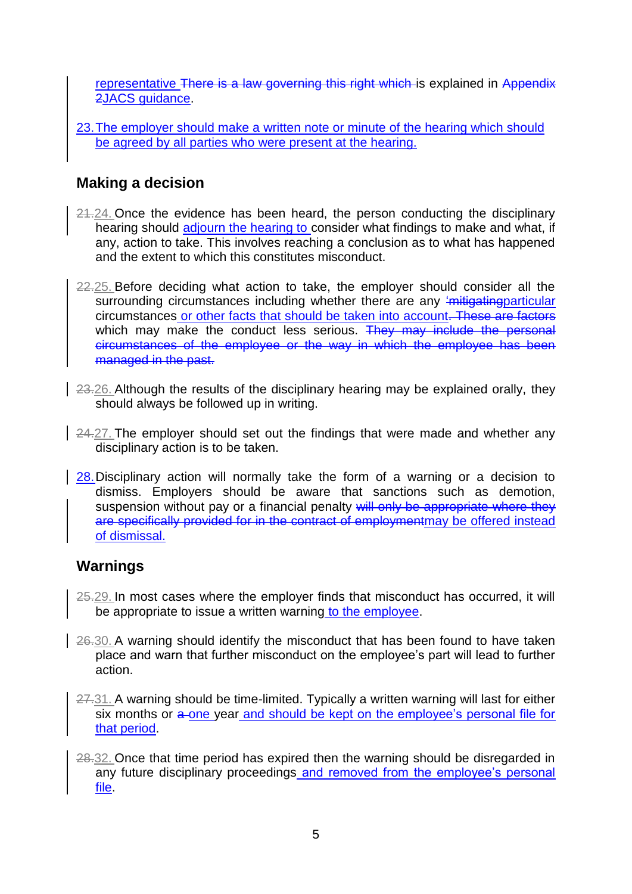representative There is a law governing this right which is explained in Appendix 2JACS guidance.

23.The employer should make a written note or minute of the hearing which should be agreed by all parties who were present at the hearing.

# **Making a decision**

- 21.24. Once the evidence has been heard, the person conducting the disciplinary hearing should adjourn the hearing to consider what findings to make and what, if any, action to take. This involves reaching a conclusion as to what has happened and the extent to which this constitutes misconduct.
- 22.25. Before deciding what action to take, the employer should consider all the surrounding circumstances including whether there are any 'mitigating particular circumstances or other facts that should be taken into account. These are factors which may make the conduct less serious. They may include the personal circumstances of the employee or the way in which the employee has been managed in the past.
- 23.26. Although the results of the disciplinary hearing may be explained orally, they should always be followed up in writing.
- 24.27. The employer should set out the findings that were made and whether any disciplinary action is to be taken.
- 28. Disciplinary action will normally take the form of a warning or a decision to dismiss. Employers should be aware that sanctions such as demotion, suspension without pay or a financial penalty will only be appropriate where they are specifically provided for in the contract of employmentmay be offered instead of dismissal.

### **Warnings**

- 25.29. In most cases where the employer finds that misconduct has occurred, it will be appropriate to issue a written warning to the employee.
- 26.30. A warning should identify the misconduct that has been found to have taken place and warn that further misconduct on the employee's part will lead to further action.
- 27.31. A warning should be time-limited. Typically a written warning will last for either six months or  $a$ -one year and should be kept on the employee's personal file for that period.
- 28.32. Once that time period has expired then the warning should be disregarded in any future disciplinary proceedings and removed from the employee's personal file.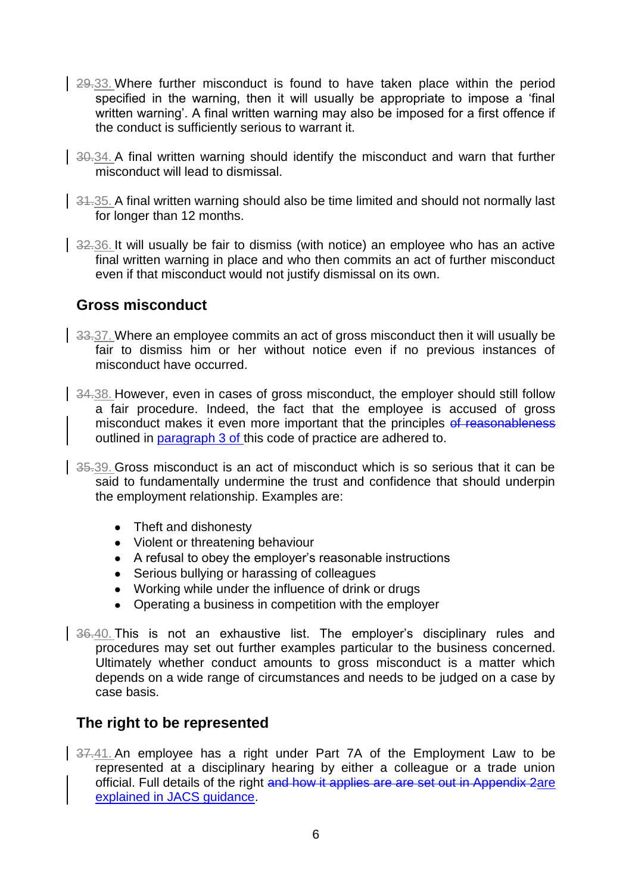- 29.33. Where further misconduct is found to have taken place within the period specified in the warning, then it will usually be appropriate to impose a 'final written warning'. A final written warning may also be imposed for a first offence if the conduct is sufficiently serious to warrant it.
- 30.34. A final written warning should identify the misconduct and warn that further misconduct will lead to dismissal.
- $\frac{34.35}{ }$  A final written warning should also be time limited and should not normally last for longer than 12 months.
- 32.36. It will usually be fair to dismiss (with notice) an employee who has an active final written warning in place and who then commits an act of further misconduct even if that misconduct would not justify dismissal on its own.

#### **Gross misconduct**

- 33.37. Where an employee commits an act of gross misconduct then it will usually be fair to dismiss him or her without notice even if no previous instances of misconduct have occurred.
- 34.38. However, even in cases of gross misconduct, the employer should still follow a fair procedure. Indeed, the fact that the employee is accused of gross misconduct makes it even more important that the principles of reasonableness outlined in paragraph 3 of this code of practice are adhered to.
- 35.39. Gross misconduct is an act of misconduct which is so serious that it can be said to fundamentally undermine the trust and confidence that should underpin the employment relationship. Examples are:
	- Theft and dishonesty
	- Violent or threatening behaviour
	- A refusal to obey the employer's reasonable instructions
	- Serious bullying or harassing of colleagues
	- Working while under the influence of drink or drugs
	- Operating a business in competition with the employer
- 36.40. This is not an exhaustive list. The emplover's disciplinary rules and procedures may set out further examples particular to the business concerned. Ultimately whether conduct amounts to gross misconduct is a matter which depends on a wide range of circumstances and needs to be judged on a case by case basis.

### **The right to be represented**

37.41. An employee has a right under Part 7A of the Employment Law to be represented at a disciplinary hearing by either a colleague or a trade union official. Full details of the right and how it applies are are set out in Appendix 2are explained in JACS guidance.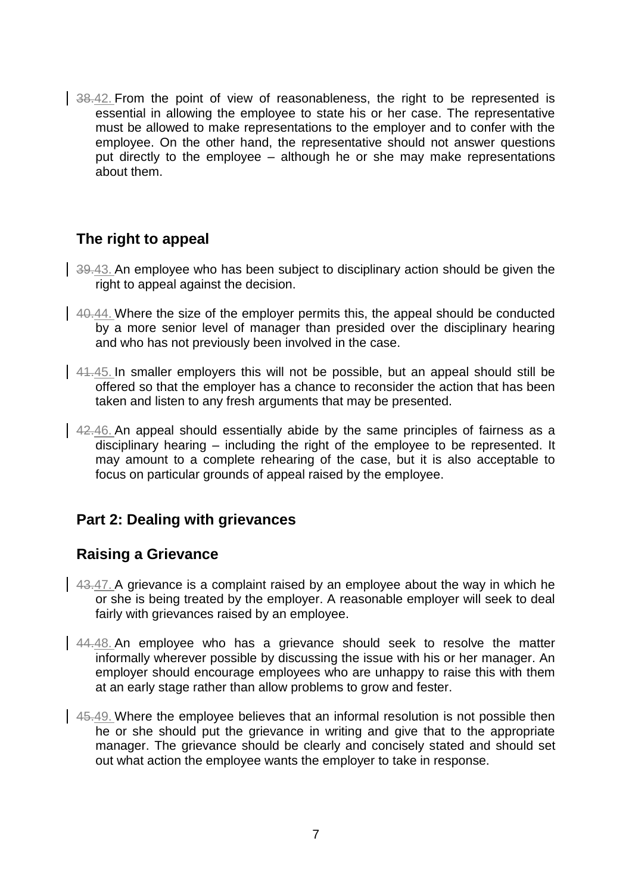38.42. From the point of view of reasonableness, the right to be represented is essential in allowing the employee to state his or her case. The representative must be allowed to make representations to the employer and to confer with the employee. On the other hand, the representative should not answer questions put directly to the employee – although he or she may make representations about them.

# **The right to appeal**

- $\frac{39.43}{10.43}$ . An employee who has been subject to disciplinary action should be given the right to appeal against the decision.
- $\vert$  40.44. Where the size of the employer permits this, the appeal should be conducted by a more senior level of manager than presided over the disciplinary hearing and who has not previously been involved in the case.
- 41.45. In smaller employers this will not be possible, but an appeal should still be offered so that the employer has a chance to reconsider the action that has been taken and listen to any fresh arguments that may be presented.
- 42.46. An appeal should essentially abide by the same principles of fairness as a disciplinary hearing – including the right of the employee to be represented. It may amount to a complete rehearing of the case, but it is also acceptable to focus on particular grounds of appeal raised by the employee.

# **Part 2: Dealing with grievances**

# **Raising a Grievance**

- $\frac{43.47}{4}$ . A grievance is a complaint raised by an employee about the way in which he or she is being treated by the employer. A reasonable employer will seek to deal fairly with grievances raised by an employee.
- 44.48. An employee who has a grievance should seek to resolve the matter informally wherever possible by discussing the issue with his or her manager. An employer should encourage employees who are unhappy to raise this with them at an early stage rather than allow problems to grow and fester.
- 45.49. Where the employee believes that an informal resolution is not possible then he or she should put the grievance in writing and give that to the appropriate manager. The grievance should be clearly and concisely stated and should set out what action the employee wants the employer to take in response.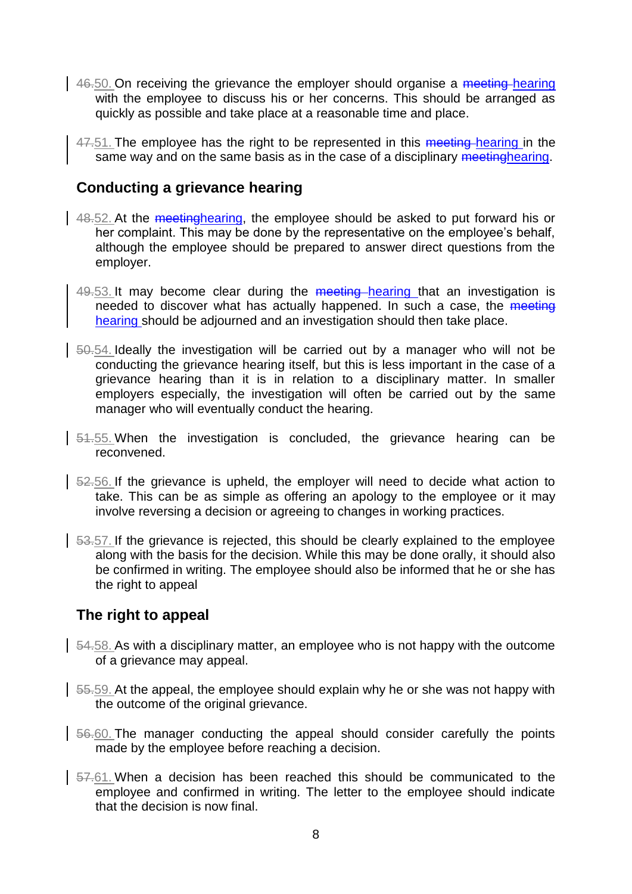- $\frac{46.50}{2}$  On receiving the grievance the employer should organise a meeting-hearing with the employee to discuss his or her concerns. This should be arranged as quickly as possible and take place at a reasonable time and place.
	- 47.51. The employee has the right to be represented in this meeting hearing in the same way and on the same basis as in the case of a disciplinary meetinghearing.

#### **Conducting a grievance hearing**

- 48.52. At the meetinghearing, the employee should be asked to put forward his or  $\overline{h}$  her complaint. This may be done by the representative on the employee's behalf, although the employee should be prepared to answer direct questions from the employer.
- 49.53. It may become clear during the meeting hearing that an investigation is needed to discover what has actually happened. In such a case, the meeting hearing should be adjourned and an investigation should then take place.
- 50.54. Ideally the investigation will be carried out by a manager who will not be conducting the grievance hearing itself, but this is less important in the case of a grievance hearing than it is in relation to a disciplinary matter. In smaller employers especially, the investigation will often be carried out by the same manager who will eventually conduct the hearing.
- $\frac{1}{2}$  54.55. When the investigation is concluded, the grievance hearing can be reconvened.
- 52.56. If the grievance is upheld, the employer will need to decide what action to take. This can be as simple as offering an apology to the employee or it may involve reversing a decision or agreeing to changes in working practices.
- $\frac{53.57}{ }$ . If the grievance is rejected, this should be clearly explained to the employee along with the basis for the decision. While this may be done orally, it should also be confirmed in writing. The employee should also be informed that he or she has the right to appeal

### **The right to appeal**

- 54.58. As with a disciplinary matter, an employee who is not happy with the outcome of a grievance may appeal.
- $\vert$  55.59. At the appeal, the employee should explain why he or she was not happy with the outcome of the original grievance.
- 56.60. The manager conducting the appeal should consider carefully the points made by the employee before reaching a decision.
- 57.61. When a decision has been reached this should be communicated to the employee and confirmed in writing. The letter to the employee should indicate that the decision is now final.